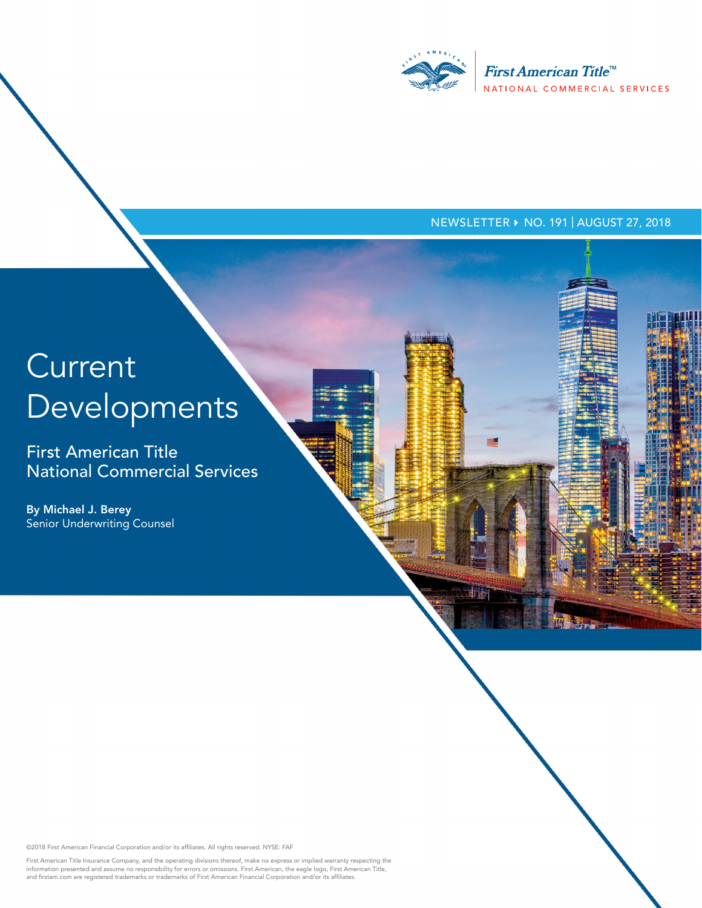

#### NEWSLETTER ▶ NO. 191 | AUGUST 27, 2018

# **Current** Developments

First American Title National Commercial Services

By Michael J. Berey Senior Underwriting Counsel

©2018 First American Financial Corporation and/or its affiliates. All rights reserved. NYSE: FAF

First American Title Insurance Company, and the operating divisions thereof, make no express or implied warranty respecting the<br>information presented and assume no responsibility for errors or omissions. First American, th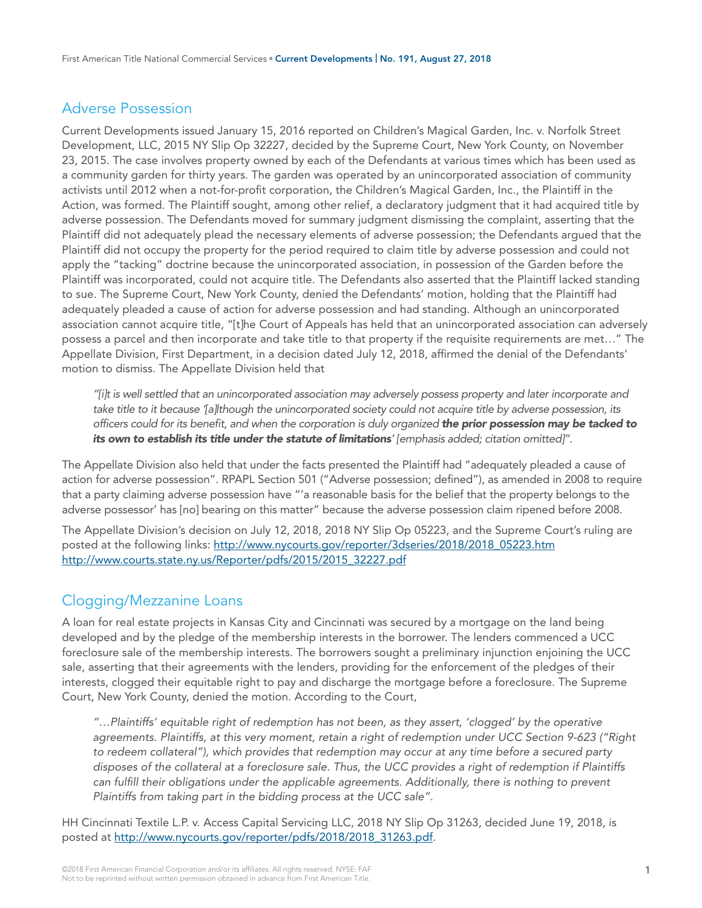#### Adverse Possession

Current Developments issued January 15, 2016 reported on Children's Magical Garden, Inc. v. Norfolk Street Development, LLC, 2015 NY Slip Op 32227, decided by the Supreme Court, New York County, on November 23, 2015. The case involves property owned by each of the Defendants at various times which has been used as a community garden for thirty years. The garden was operated by an unincorporated association of community activists until 2012 when a not-for-profit corporation, the Children's Magical Garden, Inc., the Plaintiff in the Action, was formed. The Plaintiff sought, among other relief, a declaratory judgment that it had acquired title by adverse possession. The Defendants moved for summary judgment dismissing the complaint, asserting that the Plaintiff did not adequately plead the necessary elements of adverse possession; the Defendants argued that the Plaintiff did not occupy the property for the period required to claim title by adverse possession and could not apply the "tacking" doctrine because the unincorporated association, in possession of the Garden before the Plaintiff was incorporated, could not acquire title. The Defendants also asserted that the Plaintiff lacked standing to sue. The Supreme Court, New York County, denied the Defendants' motion, holding that the Plaintiff had adequately pleaded a cause of action for adverse possession and had standing. Although an unincorporated association cannot acquire title, "[t]he Court of Appeals has held that an unincorporated association can adversely possess a parcel and then incorporate and take title to that property if the requisite requirements are met…" The Appellate Division, First Department, in a decision dated July 12, 2018, affirmed the denial of the Defendants' motion to dismiss. The Appellate Division held that

*"[i]t is well settled that an unincorporated association may adversely possess property and later incorporate and*  take title to it because '[a]lthough the unincorporated society could not acquire title by adverse possession, its *officers could for its benefit, and when the corporation is duly organized the prior possession may be tacked to its own to establish its title under the statute of limitations' [emphasis added; citation omitted]".*

The Appellate Division also held that under the facts presented the Plaintiff had "adequately pleaded a cause of action for adverse possession". RPAPL Section 501 ("Adverse possession; defined"), as amended in 2008 to require that a party claiming adverse possession have "'a reasonable basis for the belief that the property belongs to the adverse possessor' has [no] bearing on this matter" because the adverse possession claim ripened before 2008.

The Appellate Division's decision on July 12, 2018, 2018 NY Slip Op 05223, and the Supreme Court's ruling are posted at the following links: [http://www.nycourts.gov/reporter/3dseries/2018/2018\\_05223.htm](http://www.nycourts.gov/reporter/3dseries/2018/2018_05223.htm) [http://www.courts.state.ny.us/Reporter/pdfs/2015/2015\\_32227.pdf](http://www.courts.state.ny.us/Reporter/pdfs/2015/2015_32227.pdf)

# Clogging/Mezzanine Loans

A loan for real estate projects in Kansas City and Cincinnati was secured by a mortgage on the land being developed and by the pledge of the membership interests in the borrower. The lenders commenced a UCC foreclosure sale of the membership interests. The borrowers sought a preliminary injunction enjoining the UCC sale, asserting that their agreements with the lenders, providing for the enforcement of the pledges of their interests, clogged their equitable right to pay and discharge the mortgage before a foreclosure. The Supreme Court, New York County, denied the motion. According to the Court,

*"…Plaintiffs' equitable right of redemption has not been, as they assert, 'clogged' by the operative agreements. Plaintiffs, at this very moment, retain a right of redemption under UCC Section 9-623 ("Right to redeem collateral"), which provides that redemption may occur at any time before a secured party disposes of the collateral at a foreclosure sale. Thus, the UCC provides a right of redemption if Plaintiffs*  can fulfill their obligations under the applicable agreements. Additionally, there is nothing to prevent *Plaintiffs from taking part in the bidding process at the UCC sale".* 

HH Cincinnati Textile L.P. v. Access Capital Servicing LLC, 2018 NY Slip Op 31263, decided June 19, 2018, is posted at [http://www.nycourts.gov/reporter/pdfs/2018/2018\\_31263.pdf.](http://www.nycourts.gov/reporter/pdfs/2018/2018_31263.pdf)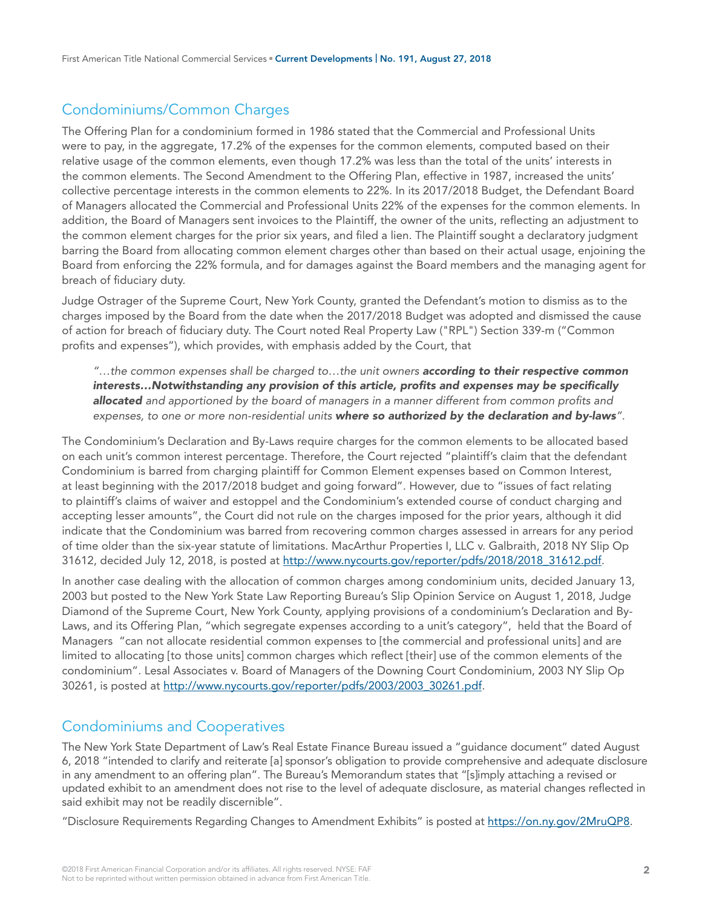# Condominiums/Common Charges

The Offering Plan for a condominium formed in 1986 stated that the Commercial and Professional Units were to pay, in the aggregate, 17.2% of the expenses for the common elements, computed based on their relative usage of the common elements, even though 17.2% was less than the total of the units' interests in the common elements. The Second Amendment to the Offering Plan, effective in 1987, increased the units' collective percentage interests in the common elements to 22%. In its 2017/2018 Budget, the Defendant Board of Managers allocated the Commercial and Professional Units 22% of the expenses for the common elements. In addition, the Board of Managers sent invoices to the Plaintiff, the owner of the units, reflecting an adjustment to the common element charges for the prior six years, and filed a lien. The Plaintiff sought a declaratory judgment barring the Board from allocating common element charges other than based on their actual usage, enjoining the Board from enforcing the 22% formula, and for damages against the Board members and the managing agent for breach of fiduciary duty.

Judge Ostrager of the Supreme Court, New York County, granted the Defendant's motion to dismiss as to the charges imposed by the Board from the date when the 2017/2018 Budget was adopted and dismissed the cause of action for breach of fiduciary duty. The Court noted Real Property Law ("RPL") Section 339-m ("Common profits and expenses"), which provides, with emphasis added by the Court, that

*"…the common expenses shall be charged to…the unit owners according to their respective common interests…Notwithstanding any provision of this article, profits and expenses may be specifically allocated and apportioned by the board of managers in a manner different from common profits and expenses, to one or more non-residential units where so authorized by the declaration and by-laws".*

The Condominium's Declaration and By-Laws require charges for the common elements to be allocated based on each unit's common interest percentage. Therefore, the Court rejected "plaintiff's claim that the defendant Condominium is barred from charging plaintiff for Common Element expenses based on Common Interest, at least beginning with the 2017/2018 budget and going forward". However, due to "issues of fact relating to plaintiff's claims of waiver and estoppel and the Condominium's extended course of conduct charging and accepting lesser amounts", the Court did not rule on the charges imposed for the prior years, although it did indicate that the Condominium was barred from recovering common charges assessed in arrears for any period of time older than the six-year statute of limitations. MacArthur Properties I, LLC v. Galbraith, 2018 NY Slip Op 31612, decided July 12, 2018, is posted at [http://www.nycourts.gov/reporter/pdfs/2018/2018\\_31612.pdf.](http://www.nycourts.gov/reporter/pdfs/2018/2018_31612.pdf)

In another case dealing with the allocation of common charges among condominium units, decided January 13, 2003 but posted to the New York State Law Reporting Bureau's Slip Opinion Service on August 1, 2018, Judge Diamond of the Supreme Court, New York County, applying provisions of a condominium's Declaration and By-Laws, and its Offering Plan, "which segregate expenses according to a unit's category", held that the Board of Managers "can not allocate residential common expenses to [the commercial and professional units] and are limited to allocating [to those units] common charges which reflect [their] use of the common elements of the condominium". Lesal Associates v. Board of Managers of the Downing Court Condominium, 2003 NY Slip Op 30261, is posted at [http://www.nycourts.gov/reporter/pdfs/2003/2003\\_30261.pdf](http://www.nycourts.gov/reporter/pdfs/2003/2003_30261.pdf).

## Condominiums and Cooperatives

The New York State Department of Law's Real Estate Finance Bureau issued a "guidance document" dated August 6, 2018 "intended to clarify and reiterate [a] sponsor's obligation to provide comprehensive and adequate disclosure in any amendment to an offering plan". The Bureau's Memorandum states that "[s]imply attaching a revised or updated exhibit to an amendment does not rise to the level of adequate disclosure, as material changes reflected in said exhibit may not be readily discernible".

"Disclosure Requirements Regarding Changes to Amendment Exhibits" is posted at <https://on.ny.gov/2MruQP8>.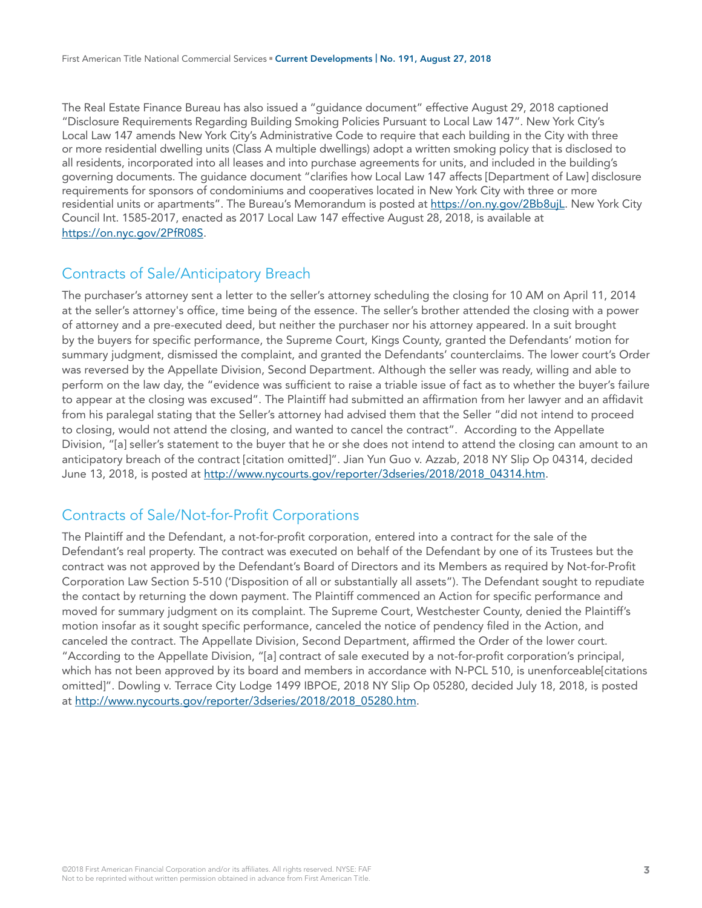The Real Estate Finance Bureau has also issued a "guidance document" effective August 29, 2018 captioned "Disclosure Requirements Regarding Building Smoking Policies Pursuant to Local Law 147". New York City's Local Law 147 amends New York City's Administrative Code to require that each building in the City with three or more residential dwelling units (Class A multiple dwellings) adopt a written smoking policy that is disclosed to all residents, incorporated into all leases and into purchase agreements for units, and included in the building's governing documents. The guidance document "clarifies how Local Law 147 affects [Department of Law] disclosure requirements for sponsors of condominiums and cooperatives located in New York City with three or more residential units or apartments". The Bureau's Memorandum is posted at [https://on.ny.gov/2Bb8ujL.](https://on.ny.gov/2Bb8ujL) New York City Council Int. 1585-2017, enacted as 2017 Local Law 147 effective August 28, 2018, is available at <https://on.nyc.gov/2PfR08S>.

## Contracts of Sale/Anticipatory Breach

The purchaser's attorney sent a letter to the seller's attorney scheduling the closing for 10 AM on April 11, 2014 at the seller's attorney's office, time being of the essence. The seller's brother attended the closing with a power of attorney and a pre-executed deed, but neither the purchaser nor his attorney appeared. In a suit brought by the buyers for specific performance, the Supreme Court, Kings County, granted the Defendants' motion for summary judgment, dismissed the complaint, and granted the Defendants' counterclaims. The lower court's Order was reversed by the Appellate Division, Second Department. Although the seller was ready, willing and able to perform on the law day, the "evidence was sufficient to raise a triable issue of fact as to whether the buyer's failure to appear at the closing was excused". The Plaintiff had submitted an affirmation from her lawyer and an affidavit from his paralegal stating that the Seller's attorney had advised them that the Seller "did not intend to proceed to closing, would not attend the closing, and wanted to cancel the contract". According to the Appellate Division, "[a] seller's statement to the buyer that he or she does not intend to attend the closing can amount to an anticipatory breach of the contract [citation omitted]". Jian Yun Guo v. Azzab, 2018 NY Slip Op 04314, decided June 13, 2018, is posted at [http://www.nycourts.gov/reporter/3dseries/2018/2018\\_04314.htm.](http://www.nycourts.gov/reporter/3dseries/2018/2018_04314.htm)

## Contracts of Sale/Not-for-Profit Corporations

The Plaintiff and the Defendant, a not-for-profit corporation, entered into a contract for the sale of the Defendant's real property. The contract was executed on behalf of the Defendant by one of its Trustees but the contract was not approved by the Defendant's Board of Directors and its Members as required by Not-for-Profit Corporation Law Section 5-510 ('Disposition of all or substantially all assets"). The Defendant sought to repudiate the contact by returning the down payment. The Plaintiff commenced an Action for specific performance and moved for summary judgment on its complaint. The Supreme Court, Westchester County, denied the Plaintiff's motion insofar as it sought specific performance, canceled the notice of pendency filed in the Action, and canceled the contract. The Appellate Division, Second Department, affirmed the Order of the lower court. "According to the Appellate Division, "[a] contract of sale executed by a not-for-profit corporation's principal, which has not been approved by its board and members in accordance with N-PCL 510, is unenforceable citations omitted]". Dowling v. Terrace City Lodge 1499 IBPOE, 2018 NY Slip Op 05280, decided July 18, 2018, is posted at [http://www.nycourts.gov/reporter/3dseries/2018/2018\\_05280.htm](http://www.nycourts.gov/reporter/3dseries/2018/2018_05280.htm).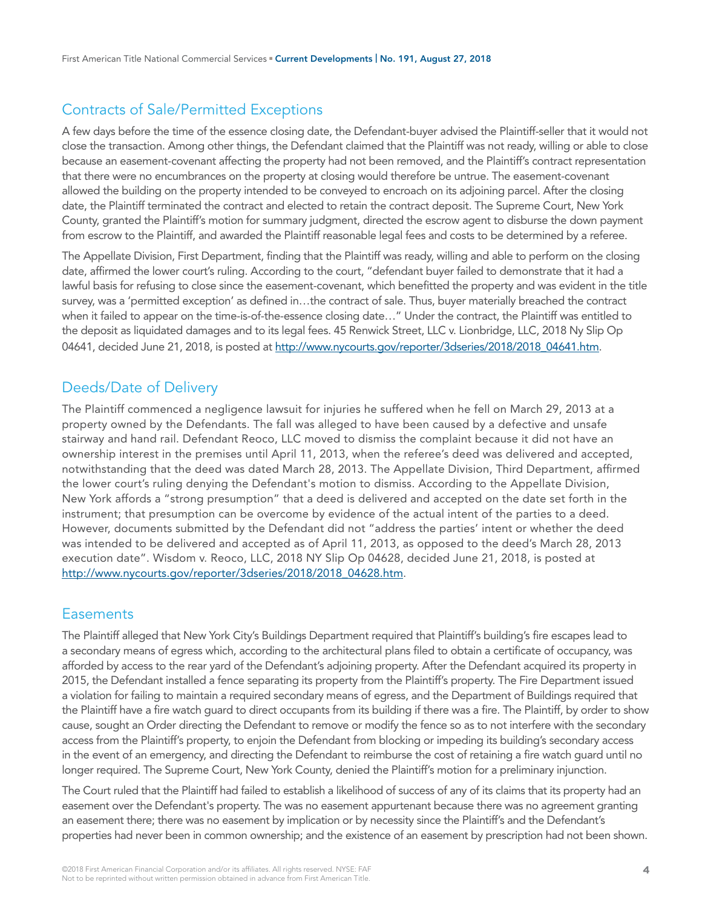# Contracts of Sale/Permitted Exceptions

A few days before the time of the essence closing date, the Defendant-buyer advised the Plaintiff-seller that it would not close the transaction. Among other things, the Defendant claimed that the Plaintiff was not ready, willing or able to close because an easement-covenant affecting the property had not been removed, and the Plaintiff's contract representation that there were no encumbrances on the property at closing would therefore be untrue. The easement-covenant allowed the building on the property intended to be conveyed to encroach on its adjoining parcel. After the closing date, the Plaintiff terminated the contract and elected to retain the contract deposit. The Supreme Court, New York County, granted the Plaintiff's motion for summary judgment, directed the escrow agent to disburse the down payment from escrow to the Plaintiff, and awarded the Plaintiff reasonable legal fees and costs to be determined by a referee.

The Appellate Division, First Department, finding that the Plaintiff was ready, willing and able to perform on the closing date, affirmed the lower court's ruling. According to the court, "defendant buyer failed to demonstrate that it had a lawful basis for refusing to close since the easement-covenant, which benefitted the property and was evident in the title survey, was a 'permitted exception' as defined in…the contract of sale. Thus, buyer materially breached the contract when it failed to appear on the time-is-of-the-essence closing date…" Under the contract, the Plaintiff was entitled to the deposit as liquidated damages and to its legal fees. 45 Renwick Street, LLC v. Lionbridge, LLC, 2018 Ny Slip Op 04641, decided June 21, 2018, is posted at [http://www.nycourts.gov/reporter/3dseries/2018/2018\\_04641.htm.](http://www.nycourts.gov/reporter/3dseries/2018/2018_04641.htm)

## Deeds/Date of Delivery

The Plaintiff commenced a negligence lawsuit for injuries he suffered when he fell on March 29, 2013 at a property owned by the Defendants. The fall was alleged to have been caused by a defective and unsafe stairway and hand rail. Defendant Reoco, LLC moved to dismiss the complaint because it did not have an ownership interest in the premises until April 11, 2013, when the referee's deed was delivered and accepted, notwithstanding that the deed was dated March 28, 2013. The Appellate Division, Third Department, affirmed the lower court's ruling denying the Defendant's motion to dismiss. According to the Appellate Division, New York affords a "strong presumption" that a deed is delivered and accepted on the date set forth in the instrument; that presumption can be overcome by evidence of the actual intent of the parties to a deed. However, documents submitted by the Defendant did not "address the parties' intent or whether the deed was intended to be delivered and accepted as of April 11, 2013, as opposed to the deed's March 28, 2013 execution date". Wisdom v. Reoco, LLC, 2018 NY Slip Op 04628, decided June 21, 2018, is posted at [http://www.nycourts.gov/reporter/3dseries/2018/2018\\_04628.htm.](http://www.nycourts.gov/reporter/3dseries/2018/2018_04628.htm)

#### **Easements**

The Plaintiff alleged that New York City's Buildings Department required that Plaintiff's building's fire escapes lead to a secondary means of egress which, according to the architectural plans filed to obtain a certificate of occupancy, was afforded by access to the rear yard of the Defendant's adjoining property. After the Defendant acquired its property in 2015, the Defendant installed a fence separating its property from the Plaintiff's property. The Fire Department issued a violation for failing to maintain a required secondary means of egress, and the Department of Buildings required that the Plaintiff have a fire watch guard to direct occupants from its building if there was a fire. The Plaintiff, by order to show cause, sought an Order directing the Defendant to remove or modify the fence so as to not interfere with the secondary access from the Plaintiff's property, to enjoin the Defendant from blocking or impeding its building's secondary access in the event of an emergency, and directing the Defendant to reimburse the cost of retaining a fire watch guard until no longer required. The Supreme Court, New York County, denied the Plaintiff's motion for a preliminary injunction.

The Court ruled that the Plaintiff had failed to establish a likelihood of success of any of its claims that its property had an easement over the Defendant's property. The was no easement appurtenant because there was no agreement granting an easement there; there was no easement by implication or by necessity since the Plaintiff's and the Defendant's properties had never been in common ownership; and the existence of an easement by prescription had not been shown.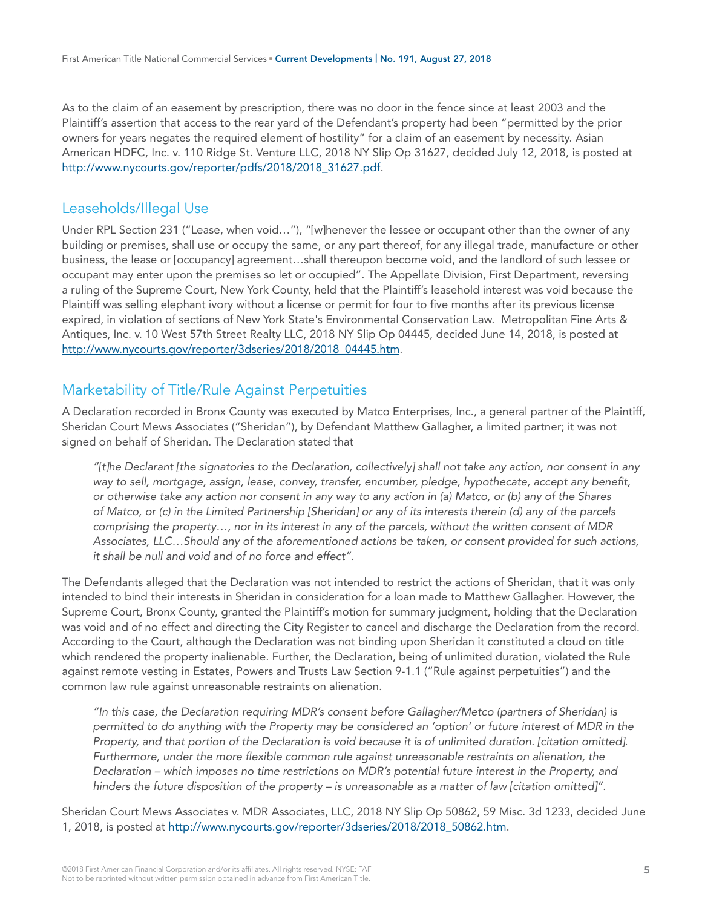As to the claim of an easement by prescription, there was no door in the fence since at least 2003 and the Plaintiff's assertion that access to the rear yard of the Defendant's property had been "permitted by the prior owners for years negates the required element of hostility" for a claim of an easement by necessity. Asian American HDFC, Inc. v. 110 Ridge St. Venture LLC, 2018 NY Slip Op 31627, decided July 12, 2018, is posted at [http://www.nycourts.gov/reporter/pdfs/2018/2018\\_31627.pdf.](http://www.nycourts.gov/reporter/pdfs/2018/2018_31627.pdf)

#### Leaseholds/Illegal Use

Under RPL Section 231 ("Lease, when void…"), "[w]henever the lessee or occupant other than the owner of any building or premises, shall use or occupy the same, or any part thereof, for any illegal trade, manufacture or other business, the lease or [occupancy] agreement…shall thereupon become void, and the landlord of such lessee or occupant may enter upon the premises so let or occupied". The Appellate Division, First Department, reversing a ruling of the Supreme Court, New York County, held that the Plaintiff's leasehold interest was void because the Plaintiff was selling elephant ivory without a license or permit for four to five months after its previous license expired, in violation of sections of New York State's Environmental Conservation Law. Metropolitan Fine Arts & Antiques, Inc. v. 10 West 57th Street Realty LLC, 2018 NY Slip Op 04445, decided June 14, 2018, is posted at [http://www.nycourts.gov/reporter/3dseries/2018/2018\\_04445.htm.](http://www.nycourts.gov/reporter/3dseries/2018/2018_04445.htm)

# Marketability of Title/Rule Against Perpetuities

A Declaration recorded in Bronx County was executed by Matco Enterprises, Inc., a general partner of the Plaintiff, Sheridan Court Mews Associates ("Sheridan"), by Defendant Matthew Gallagher, a limited partner; it was not signed on behalf of Sheridan. The Declaration stated that

*"[t]he Declarant [the signatories to the Declaration, collectively] shall not take any action, nor consent in any way to sell, mortgage, assign, lease, convey, transfer, encumber, pledge, hypothecate, accept any benefit, or otherwise take any action nor consent in any way to any action in (a) Matco, or (b) any of the Shares of Matco, or (c) in the Limited Partnership [Sheridan] or any of its interests therein (d) any of the parcels comprising the property…, nor in its interest in any of the parcels, without the written consent of MDR Associates, LLC…Should any of the aforementioned actions be taken, or consent provided for such actions, it shall be null and void and of no force and effect".* 

The Defendants alleged that the Declaration was not intended to restrict the actions of Sheridan, that it was only intended to bind their interests in Sheridan in consideration for a loan made to Matthew Gallagher. However, the Supreme Court, Bronx County, granted the Plaintiff's motion for summary judgment, holding that the Declaration was void and of no effect and directing the City Register to cancel and discharge the Declaration from the record. According to the Court, although the Declaration was not binding upon Sheridan it constituted a cloud on title which rendered the property inalienable. Further, the Declaration, being of unlimited duration, violated the Rule against remote vesting in Estates, Powers and Trusts Law Section 9-1.1 ("Rule against perpetuities") and the common law rule against unreasonable restraints on alienation.

*"In this case, the Declaration requiring MDR's consent before Gallagher/Metco (partners of Sheridan) is permitted to do anything with the Property may be considered an 'option' or future interest of MDR in the Property, and that portion of the Declaration is void because it is of unlimited duration. [citation omitted]. Furthermore, under the more flexible common rule against unreasonable restraints on alienation, the Declaration – which imposes no time restrictions on MDR's potential future interest in the Property, and hinders the future disposition of the property – is unreasonable as a matter of law [citation omitted]".* 

Sheridan Court Mews Associates v. MDR Associates, LLC, 2018 NY Slip Op 50862, 59 Misc. 3d 1233, decided June 1, 2018, is posted at http://www.nycourts.gov/reporter/3dseries/2018/2018 50862.htm.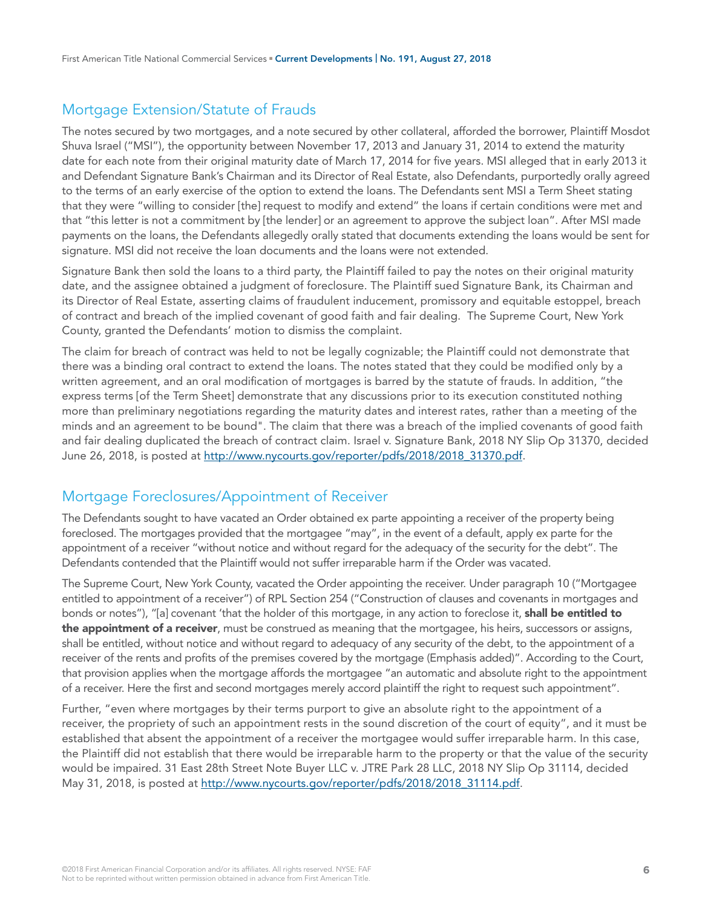# Mortgage Extension/Statute of Frauds

The notes secured by two mortgages, and a note secured by other collateral, afforded the borrower, Plaintiff Mosdot Shuva Israel ("MSI"), the opportunity between November 17, 2013 and January 31, 2014 to extend the maturity date for each note from their original maturity date of March 17, 2014 for five years. MSI alleged that in early 2013 it and Defendant Signature Bank's Chairman and its Director of Real Estate, also Defendants, purportedly orally agreed to the terms of an early exercise of the option to extend the loans. The Defendants sent MSI a Term Sheet stating that they were "willing to consider [the] request to modify and extend" the loans if certain conditions were met and that "this letter is not a commitment by [the lender] or an agreement to approve the subject loan". After MSI made payments on the loans, the Defendants allegedly orally stated that documents extending the loans would be sent for signature. MSI did not receive the loan documents and the loans were not extended.

Signature Bank then sold the loans to a third party, the Plaintiff failed to pay the notes on their original maturity date, and the assignee obtained a judgment of foreclosure. The Plaintiff sued Signature Bank, its Chairman and its Director of Real Estate, asserting claims of fraudulent inducement, promissory and equitable estoppel, breach of contract and breach of the implied covenant of good faith and fair dealing. The Supreme Court, New York County, granted the Defendants' motion to dismiss the complaint.

The claim for breach of contract was held to not be legally cognizable; the Plaintiff could not demonstrate that there was a binding oral contract to extend the loans. The notes stated that they could be modified only by a written agreement, and an oral modification of mortgages is barred by the statute of frauds. In addition, "the express terms [of the Term Sheet] demonstrate that any discussions prior to its execution constituted nothing more than preliminary negotiations regarding the maturity dates and interest rates, rather than a meeting of the minds and an agreement to be bound". The claim that there was a breach of the implied covenants of good faith and fair dealing duplicated the breach of contract claim. Israel v. Signature Bank, 2018 NY Slip Op 31370, decided June 26, 2018, is posted at [http://www.nycourts.gov/reporter/pdfs/2018/2018\\_31370.pdf.](http://www.nycourts.gov/reporter/pdfs/2018/2018_31370.pdf)

## Mortgage Foreclosures/Appointment of Receiver

The Defendants sought to have vacated an Order obtained ex parte appointing a receiver of the property being foreclosed. The mortgages provided that the mortgagee "may", in the event of a default, apply ex parte for the appointment of a receiver "without notice and without regard for the adequacy of the security for the debt". The Defendants contended that the Plaintiff would not suffer irreparable harm if the Order was vacated.

The Supreme Court, New York County, vacated the Order appointing the receiver. Under paragraph 10 ("Mortgagee entitled to appointment of a receiver") of RPL Section 254 ("Construction of clauses and covenants in mortgages and bonds or notes"), "[a] covenant 'that the holder of this mortgage, in any action to foreclose it, shall be entitled to the appointment of a receiver, must be construed as meaning that the mortgagee, his heirs, successors or assigns, shall be entitled, without notice and without regard to adequacy of any security of the debt, to the appointment of a receiver of the rents and profits of the premises covered by the mortgage (Emphasis added)". According to the Court, that provision applies when the mortgage affords the mortgagee "an automatic and absolute right to the appointment of a receiver. Here the first and second mortgages merely accord plaintiff the right to request such appointment".

Further, "even where mortgages by their terms purport to give an absolute right to the appointment of a receiver, the propriety of such an appointment rests in the sound discretion of the court of equity", and it must be established that absent the appointment of a receiver the mortgagee would suffer irreparable harm. In this case, the Plaintiff did not establish that there would be irreparable harm to the property or that the value of the security would be impaired. 31 East 28th Street Note Buyer LLC v. JTRE Park 28 LLC, 2018 NY Slip Op 31114, decided May 31, 2018, is posted at [http://www.nycourts.gov/reporter/pdfs/2018/2018\\_31114.pdf](http://www.nycourts.gov/reporter/pdfs/2018/2018_31114.pdf).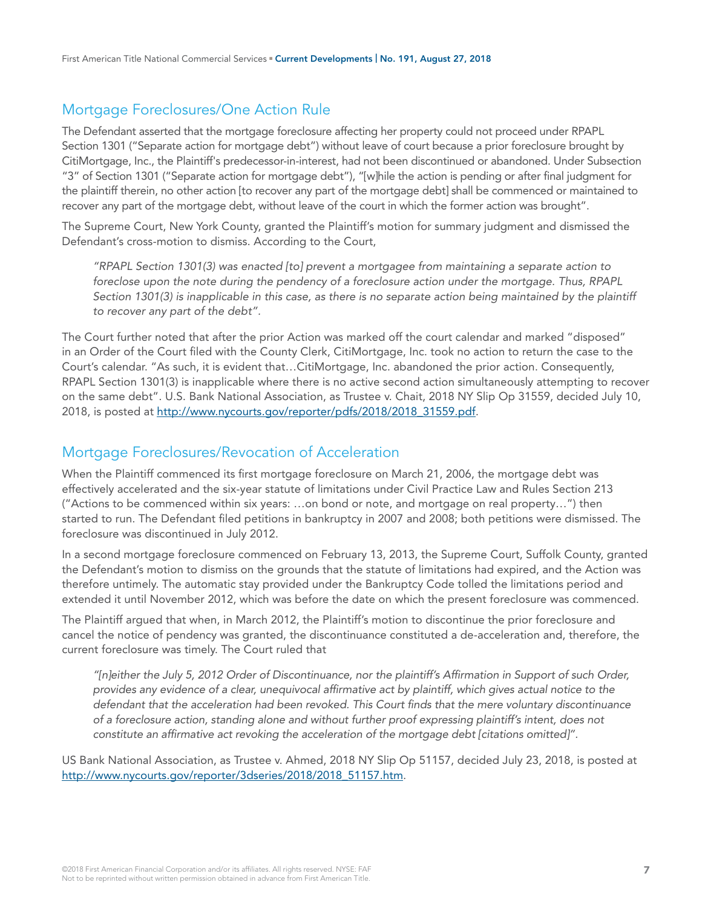# Mortgage Foreclosures/One Action Rule

The Defendant asserted that the mortgage foreclosure affecting her property could not proceed under RPAPL Section 1301 ("Separate action for mortgage debt") without leave of court because a prior foreclosure brought by CitiMortgage, Inc., the Plaintiff's predecessor-in-interest, had not been discontinued or abandoned. Under Subsection "3" of Section 1301 ("Separate action for mortgage debt"), "[w]hile the action is pending or after final judgment for the plaintiff therein, no other action [to recover any part of the mortgage debt] shall be commenced or maintained to recover any part of the mortgage debt, without leave of the court in which the former action was brought".

The Supreme Court, New York County, granted the Plaintiff's motion for summary judgment and dismissed the Defendant's cross-motion to dismiss. According to the Court,

*"RPAPL Section 1301(3) was enacted [to] prevent a mortgagee from maintaining a separate action to foreclose upon the note during the pendency of a foreclosure action under the mortgage. Thus, RPAPL*  Section 1301(3) is inapplicable in this case, as there is no separate action being maintained by the plaintiff *to recover any part of the debt".* 

The Court further noted that after the prior Action was marked off the court calendar and marked "disposed" in an Order of the Court filed with the County Clerk, CitiMortgage, Inc. took no action to return the case to the Court's calendar. "As such, it is evident that…CitiMortgage, Inc. abandoned the prior action. Consequently, RPAPL Section 1301(3) is inapplicable where there is no active second action simultaneously attempting to recover on the same debt". U.S. Bank National Association, as Trustee v. Chait, 2018 NY Slip Op 31559, decided July 10, 2018, is posted at [http://www.nycourts.gov/reporter/pdfs/2018/2018\\_31559.pdf.](http://www.nycourts.gov/reporter/pdfs/2018/2018_31559.pdf)

#### Mortgage Foreclosures/Revocation of Acceleration

When the Plaintiff commenced its first mortgage foreclosure on March 21, 2006, the mortgage debt was effectively accelerated and the six-year statute of limitations under Civil Practice Law and Rules Section 213 ("Actions to be commenced within six years: …on bond or note, and mortgage on real property…") then started to run. The Defendant filed petitions in bankruptcy in 2007 and 2008; both petitions were dismissed. The foreclosure was discontinued in July 2012.

In a second mortgage foreclosure commenced on February 13, 2013, the Supreme Court, Suffolk County, granted the Defendant's motion to dismiss on the grounds that the statute of limitations had expired, and the Action was therefore untimely. The automatic stay provided under the Bankruptcy Code tolled the limitations period and extended it until November 2012, which was before the date on which the present foreclosure was commenced.

The Plaintiff argued that when, in March 2012, the Plaintiff's motion to discontinue the prior foreclosure and cancel the notice of pendency was granted, the discontinuance constituted a de-acceleration and, therefore, the current foreclosure was timely. The Court ruled that

*"[n]either the July 5, 2012 Order of Discontinuance, nor the plaintiff's Affirmation in Support of such Order, provides any evidence of a clear, unequivocal affirmative act by plaintiff, which gives actual notice to the defendant that the acceleration had been revoked. This Court finds that the mere voluntary discontinuance of a foreclosure action, standing alone and without further proof expressing plaintiff's intent, does not constitute an affirmative act revoking the acceleration of the mortgage debt [citations omitted]".* 

US Bank National Association, as Trustee v. Ahmed, 2018 NY Slip Op 51157, decided July 23, 2018, is posted at [http://www.nycourts.gov/reporter/3dseries/2018/2018\\_51157.htm.](http://www.nycourts.gov/reporter/3dseries/2018/2018_51157.htm)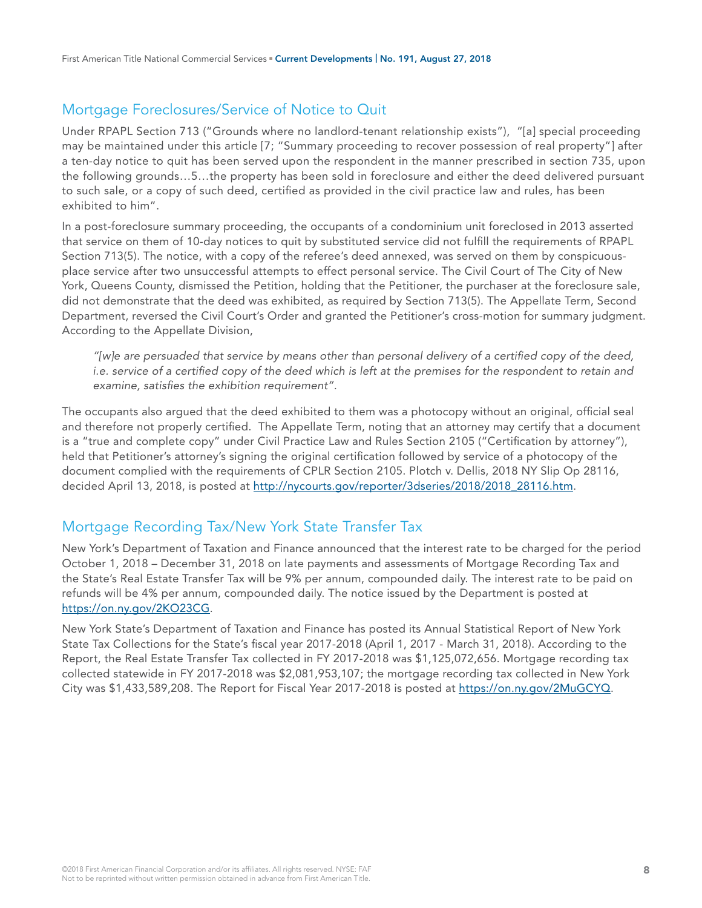# Mortgage Foreclosures/Service of Notice to Quit

Under RPAPL Section 713 ("Grounds where no landlord-tenant relationship exists"), "[a] special proceeding may be maintained under this article [7; "Summary proceeding to recover possession of real property"] after a ten-day notice to quit has been served upon the respondent in the manner prescribed in section 735, upon the following grounds…5…the property has been sold in foreclosure and either the deed delivered pursuant to such sale, or a copy of such deed, certified as provided in the civil practice law and rules, has been exhibited to him".

In a post-foreclosure summary proceeding, the occupants of a condominium unit foreclosed in 2013 asserted that service on them of 10-day notices to quit by substituted service did not fulfill the requirements of RPAPL Section 713(5). The notice, with a copy of the referee's deed annexed, was served on them by conspicuousplace service after two unsuccessful attempts to effect personal service. The Civil Court of The City of New York, Queens County, dismissed the Petition, holding that the Petitioner, the purchaser at the foreclosure sale, did not demonstrate that the deed was exhibited, as required by Section 713(5). The Appellate Term, Second Department, reversed the Civil Court's Order and granted the Petitioner's cross-motion for summary judgment. According to the Appellate Division,

*"[w]e are persuaded that service by means other than personal delivery of a certified copy of the deed, i.e. service of a certified copy of the deed which is left at the premises for the respondent to retain and examine, satisfies the exhibition requirement".* 

The occupants also argued that the deed exhibited to them was a photocopy without an original, official seal and therefore not properly certified. The Appellate Term, noting that an attorney may certify that a document is a "true and complete copy" under Civil Practice Law and Rules Section 2105 ("Certification by attorney"), held that Petitioner's attorney's signing the original certification followed by service of a photocopy of the document complied with the requirements of CPLR Section 2105. Plotch v. Dellis, 2018 NY Slip Op 28116, decided April 13, 2018, is posted at [http://nycourts.gov/reporter/3dseries/2018/2018\\_28116.htm](http://nycourts.gov/reporter/3dseries/2018/2018_28116.htm).

## Mortgage Recording Tax/New York State Transfer Tax

New York's Department of Taxation and Finance announced that the interest rate to be charged for the period October 1, 2018 – December 31, 2018 on late payments and assessments of Mortgage Recording Tax and the State's Real Estate Transfer Tax will be 9% per annum, compounded daily. The interest rate to be paid on refunds will be 4% per annum, compounded daily. The notice issued by the Department is posted at <https://on.ny.gov/2KO23CG>.

New York State's Department of Taxation and Finance has posted its Annual Statistical Report of New York State Tax Collections for the State's fiscal year 2017-2018 (April 1, 2017 - March 31, 2018). According to the Report, the Real Estate Transfer Tax collected in FY 2017-2018 was \$1,125,072,656. Mortgage recording tax collected statewide in FY 2017-2018 was \$2,081,953,107; the mortgage recording tax collected in New York City was \$1,433,589,208. The Report for Fiscal Year 2017-2018 is posted at [https://on.ny.gov/2MuGCYQ.](https://on.ny.gov/2MuGCYQ)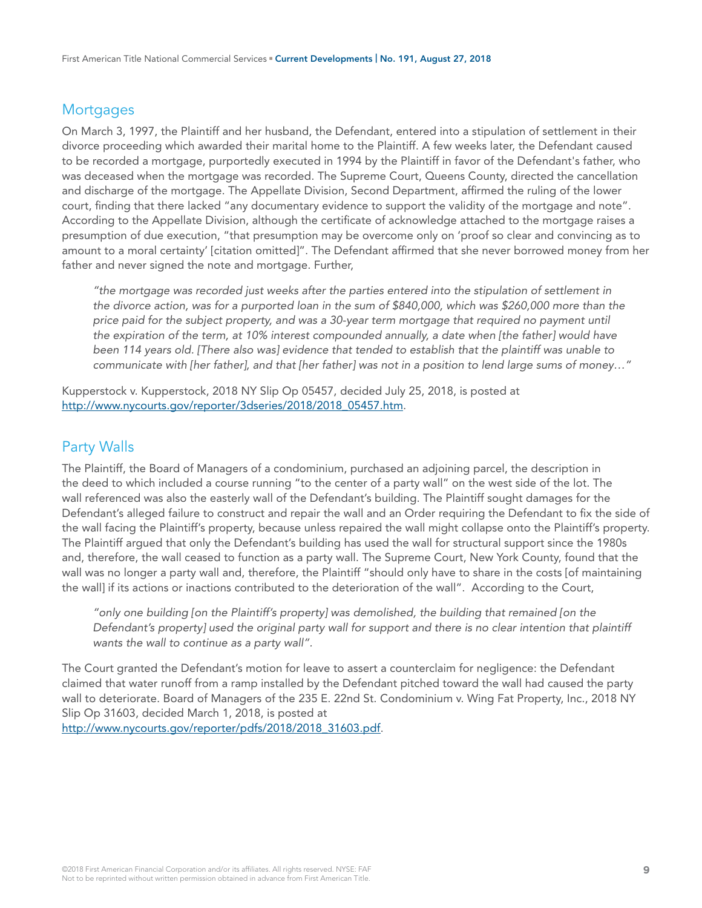#### **Mortgages**

On March 3, 1997, the Plaintiff and her husband, the Defendant, entered into a stipulation of settlement in their divorce proceeding which awarded their marital home to the Plaintiff. A few weeks later, the Defendant caused to be recorded a mortgage, purportedly executed in 1994 by the Plaintiff in favor of the Defendant's father, who was deceased when the mortgage was recorded. The Supreme Court, Queens County, directed the cancellation and discharge of the mortgage. The Appellate Division, Second Department, affirmed the ruling of the lower court, finding that there lacked "any documentary evidence to support the validity of the mortgage and note". According to the Appellate Division, although the certificate of acknowledge attached to the mortgage raises a presumption of due execution, "that presumption may be overcome only on 'proof so clear and convincing as to amount to a moral certainty' [citation omitted]". The Defendant affirmed that she never borrowed money from her father and never signed the note and mortgage. Further,

*"the mortgage was recorded just weeks after the parties entered into the stipulation of settlement in the divorce action, was for a purported loan in the sum of \$840,000, which was \$260,000 more than the price paid for the subject property, and was a 30-year term mortgage that required no payment until the expiration of the term, at 10% interest compounded annually, a date when [the father] would have been 114 years old. [There also was] evidence that tended to establish that the plaintiff was unable to communicate with [her father], and that [her father] was not in a position to lend large sums of money…"*

Kupperstock v. Kupperstock, 2018 NY Slip Op 05457, decided July 25, 2018, is posted at [http://www.nycourts.gov/reporter/3dseries/2018/2018\\_05457.htm.](http://www.nycourts.gov/reporter/3dseries/2018/2018_05457.htm)

#### Party Walls

The Plaintiff, the Board of Managers of a condominium, purchased an adjoining parcel, the description in the deed to which included a course running "to the center of a party wall" on the west side of the lot. The wall referenced was also the easterly wall of the Defendant's building. The Plaintiff sought damages for the Defendant's alleged failure to construct and repair the wall and an Order requiring the Defendant to fix the side of the wall facing the Plaintiff's property, because unless repaired the wall might collapse onto the Plaintiff's property. The Plaintiff argued that only the Defendant's building has used the wall for structural support since the 1980s and, therefore, the wall ceased to function as a party wall. The Supreme Court, New York County, found that the wall was no longer a party wall and, therefore, the Plaintiff "should only have to share in the costs [of maintaining the wall] if its actions or inactions contributed to the deterioration of the wall". According to the Court,

*"only one building [on the Plaintiff's property] was demolished, the building that remained [on the Defendant's property] used the original party wall for support and there is no clear intention that plaintiff wants the wall to continue as a party wall".* 

The Court granted the Defendant's motion for leave to assert a counterclaim for negligence: the Defendant claimed that water runoff from a ramp installed by the Defendant pitched toward the wall had caused the party wall to deteriorate. Board of Managers of the 235 E. 22nd St. Condominium v. Wing Fat Property, Inc., 2018 NY Slip Op 31603, decided March 1, 2018, is posted at [http://www.nycourts.gov/reporter/pdfs/2018/2018\\_31603.pdf.](http://www.nycourts.gov/reporter/pdfs/2018/2018_31603.pdf)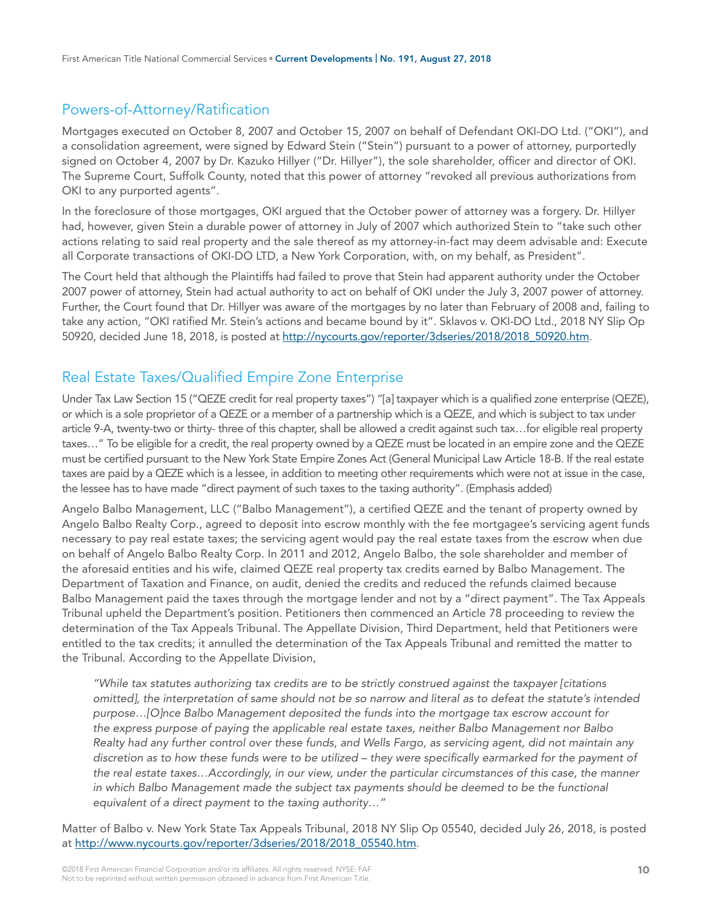## Powers-of-Attorney/Ratification

Mortgages executed on October 8, 2007 and October 15, 2007 on behalf of Defendant OKI-DO Ltd. ("OKI"), and a consolidation agreement, were signed by Edward Stein ("Stein") pursuant to a power of attorney, purportedly signed on October 4, 2007 by Dr. Kazuko Hillyer ("Dr. Hillyer"), the sole shareholder, officer and director of OKI. The Supreme Court, Suffolk County, noted that this power of attorney "revoked all previous authorizations from OKI to any purported agents".

In the foreclosure of those mortgages, OKI argued that the October power of attorney was a forgery. Dr. Hillyer had, however, given Stein a durable power of attorney in July of 2007 which authorized Stein to "take such other actions relating to said real property and the sale thereof as my attorney-in-fact may deem advisable and: Execute all Corporate transactions of OKI-DO LTD, a New York Corporation, with, on my behalf, as President".

The Court held that although the Plaintiffs had failed to prove that Stein had apparent authority under the October 2007 power of attorney, Stein had actual authority to act on behalf of OKI under the July 3, 2007 power of attorney. Further, the Court found that Dr. Hillyer was aware of the mortgages by no later than February of 2008 and, failing to take any action, "OKI ratified Mr. Stein's actions and became bound by it". Sklavos v. OKI-DO Ltd., 2018 NY Slip Op 50920, decided June 18, 2018, is posted at [http://nycourts.gov/reporter/3dseries/2018/2018\\_50920.htm](http://nycourts.gov/reporter/3dseries/2018/2018_50920.htm).

# Real Estate Taxes/Qualified Empire Zone Enterprise

Under Tax Law Section 15 ("QEZE credit for real property taxes") "[a] taxpayer which is a qualified zone enterprise (QEZE), or which is a sole proprietor of a QEZE or a member of a partnership which is a QEZE, and which is subject to tax under article 9-A, twenty-two or thirty- three of this chapter, shall be allowed a credit against such tax…for eligible real property taxes…" To be eligible for a credit, the real property owned by a QEZE must be located in an empire zone and the QEZE must be certified pursuant to the New York State Empire Zones Act (General Municipal Law Article 18-B. If the real estate taxes are paid by a QEZE which is a lessee, in addition to meeting other requirements which were not at issue in the case, the lessee has to have made "direct payment of such taxes to the taxing authority". (Emphasis added)

Angelo Balbo Management, LLC ("Balbo Management"), a certified QEZE and the tenant of property owned by Angelo Balbo Realty Corp., agreed to deposit into escrow monthly with the fee mortgagee's servicing agent funds necessary to pay real estate taxes; the servicing agent would pay the real estate taxes from the escrow when due on behalf of Angelo Balbo Realty Corp. In 2011 and 2012, Angelo Balbo, the sole shareholder and member of the aforesaid entities and his wife, claimed QEZE real property tax credits earned by Balbo Management. The Department of Taxation and Finance, on audit, denied the credits and reduced the refunds claimed because Balbo Management paid the taxes through the mortgage lender and not by a "direct payment". The Tax Appeals Tribunal upheld the Department's position. Petitioners then commenced an Article 78 proceeding to review the determination of the Tax Appeals Tribunal. The Appellate Division, Third Department, held that Petitioners were entitled to the tax credits; it annulled the determination of the Tax Appeals Tribunal and remitted the matter to the Tribunal. According to the Appellate Division,

*"While tax statutes authorizing tax credits are to be strictly construed against the taxpayer [citations omitted], the interpretation of same should not be so narrow and literal as to defeat the statute's intended purpose…[O]nce Balbo Management deposited the funds into the mortgage tax escrow account for the express purpose of paying the applicable real estate taxes, neither Balbo Management nor Balbo Realty had any further control over these funds, and Wells Fargo, as servicing agent, did not maintain any discretion as to how these funds were to be utilized – they were specifically earmarked for the payment of the real estate taxes…Accordingly, in our view, under the particular circumstances of this case, the manner*  in which Balbo Management made the subject tax payments should be deemed to be the functional *equivalent of a direct payment to the taxing authority…"*

Matter of Balbo v. New York State Tax Appeals Tribunal, 2018 NY Slip Op 05540, decided July 26, 2018, is posted at [http://www.nycourts.gov/reporter/3dseries/2018/2018\\_05540.htm](http://www.nycourts.gov/reporter/3dseries/2018/2018_05540.htm).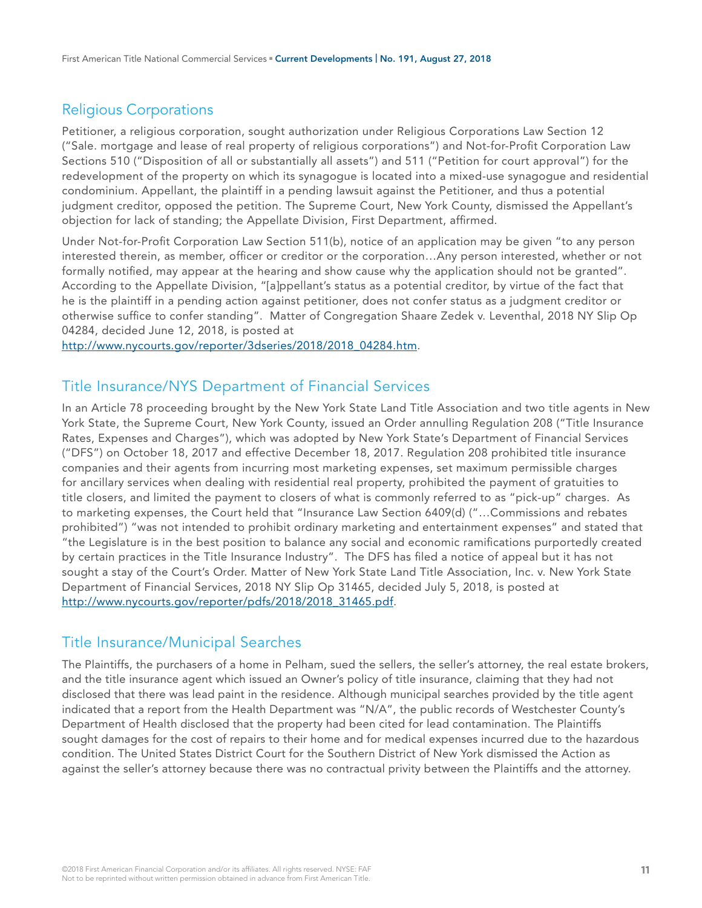# Religious Corporations

Petitioner, a religious corporation, sought authorization under Religious Corporations Law Section 12 ("Sale. mortgage and lease of real property of religious corporations") and Not-for-Profit Corporation Law Sections 510 ("Disposition of all or substantially all assets") and 511 ("Petition for court approval") for the redevelopment of the property on which its synagogue is located into a mixed-use synagogue and residential condominium. Appellant, the plaintiff in a pending lawsuit against the Petitioner, and thus a potential judgment creditor, opposed the petition. The Supreme Court, New York County, dismissed the Appellant's objection for lack of standing; the Appellate Division, First Department, affirmed.

Under Not-for-Profit Corporation Law Section 511(b), notice of an application may be given "to any person interested therein, as member, officer or creditor or the corporation…Any person interested, whether or not formally notified, may appear at the hearing and show cause why the application should not be granted". According to the Appellate Division, "[a]ppellant's status as a potential creditor, by virtue of the fact that he is the plaintiff in a pending action against petitioner, does not confer status as a judgment creditor or otherwise suffice to confer standing". Matter of Congregation Shaare Zedek v. Leventhal, 2018 NY Slip Op 04284, decided June 12, 2018, is posted at

[http://www.nycourts.gov/reporter/3dseries/2018/2018\\_04284.htm.](http://www.nycourts.gov/reporter/3dseries/2018/2018_04284.htm)

#### Title Insurance/NYS Department of Financial Services

In an Article 78 proceeding brought by the New York State Land Title Association and two title agents in New York State, the Supreme Court, New York County, issued an Order annulling Regulation 208 ("Title Insurance Rates, Expenses and Charges"), which was adopted by New York State's Department of Financial Services ("DFS") on October 18, 2017 and effective December 18, 2017. Regulation 208 prohibited title insurance companies and their agents from incurring most marketing expenses, set maximum permissible charges for ancillary services when dealing with residential real property, prohibited the payment of gratuities to title closers, and limited the payment to closers of what is commonly referred to as "pick-up" charges. As to marketing expenses, the Court held that "Insurance Law Section 6409(d) ("…Commissions and rebates prohibited") "was not intended to prohibit ordinary marketing and entertainment expenses" and stated that "the Legislature is in the best position to balance any social and economic ramifications purportedly created by certain practices in the Title Insurance Industry". The DFS has filed a notice of appeal but it has not sought a stay of the Court's Order. Matter of New York State Land Title Association, Inc. v. New York State Department of Financial Services, 2018 NY Slip Op 31465, decided July 5, 2018, is posted at [http://www.nycourts.gov/reporter/pdfs/2018/2018\\_31465.pdf](http://www.nycourts.gov/reporter/pdfs/2018/2018_31465.pdf).

## Title Insurance/Municipal Searches

The Plaintiffs, the purchasers of a home in Pelham, sued the sellers, the seller's attorney, the real estate brokers, and the title insurance agent which issued an Owner's policy of title insurance, claiming that they had not disclosed that there was lead paint in the residence. Although municipal searches provided by the title agent indicated that a report from the Health Department was "N/A", the public records of Westchester County's Department of Health disclosed that the property had been cited for lead contamination. The Plaintiffs sought damages for the cost of repairs to their home and for medical expenses incurred due to the hazardous condition. The United States District Court for the Southern District of New York dismissed the Action as against the seller's attorney because there was no contractual privity between the Plaintiffs and the attorney.